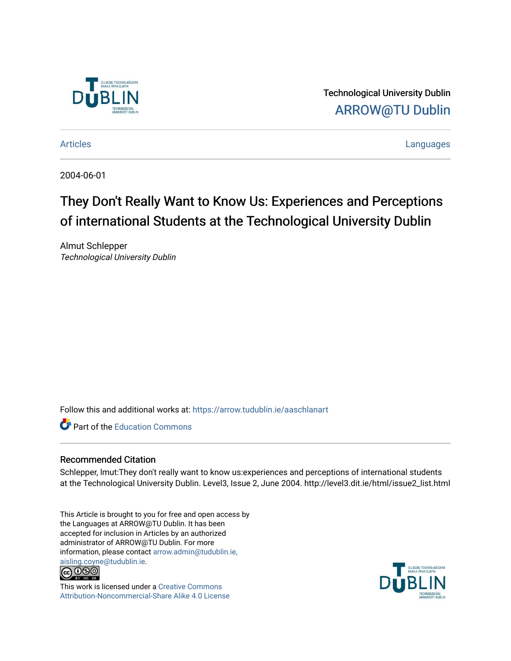

Technological University Dublin [ARROW@TU Dublin](https://arrow.tudublin.ie/) 

[Articles](https://arrow.tudublin.ie/aaschlanart) **Languages** 

2004-06-01

# They Don't Really Want to Know Us: Experiences and Perceptions of international Students at the Technological University Dublin

Almut Schlepper Technological University Dublin

Follow this and additional works at: [https://arrow.tudublin.ie/aaschlanart](https://arrow.tudublin.ie/aaschlanart?utm_source=arrow.tudublin.ie%2Faaschlanart%2F2&utm_medium=PDF&utm_campaign=PDFCoverPages) 

**C** Part of the [Education Commons](http://network.bepress.com/hgg/discipline/784?utm_source=arrow.tudublin.ie%2Faaschlanart%2F2&utm_medium=PDF&utm_campaign=PDFCoverPages)

# Recommended Citation

Schlepper, lmut:They don't really want to know us:experiences and perceptions of international students at the Technological University Dublin. Level3, Issue 2, June 2004. http://level3.dit.ie/html/issue2\_list.html

This Article is brought to you for free and open access by the Languages at ARROW@TU Dublin. It has been accepted for inclusion in Articles by an authorized administrator of ARROW@TU Dublin. For more information, please contact [arrow.admin@tudublin.ie,](mailto:arrow.admin@tudublin.ie,%20aisling.coyne@tudublin.ie)  [aisling.coyne@tudublin.ie.](mailto:arrow.admin@tudublin.ie,%20aisling.coyne@tudublin.ie)<br>© 090



This work is licensed under a [Creative Commons](http://creativecommons.org/licenses/by-nc-sa/4.0/) [Attribution-Noncommercial-Share Alike 4.0 License](http://creativecommons.org/licenses/by-nc-sa/4.0/)

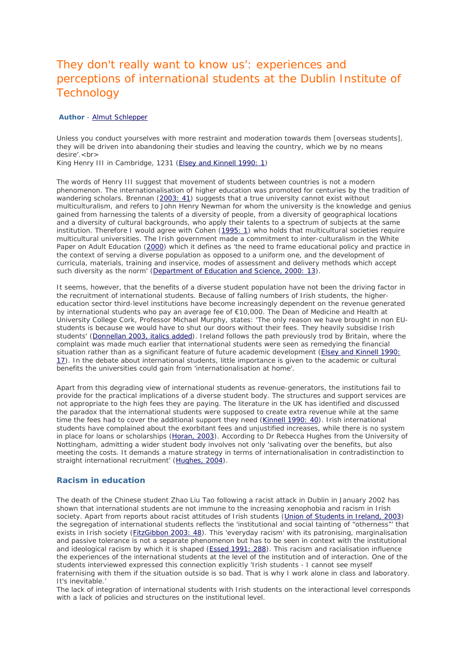# They don't really want to know us': experiences and perceptions of international students at the Dublin Institute of **Technology**

#### *Author - [Almut Schlepper](http://level3.dit.ie/html/issue2/schlepper/schlepper_refs.html)*

Unless you conduct yourselves with more restraint and moderation towards them [overseas students], they will be driven into abandoning their studies and leaving the country, which we by no means desire'.<br>

King Henry III in Cambridge, 1231 [\(Elsey and Kinnell 1990: 1\)](http://level3.dit.ie/html/issue2/schlepper/schlepper_refs.html#elsey)

The words of Henry III suggest that movement of students between countries is not a modern phenomenon. The internationalisation of higher education was promoted for centuries by the tradition of wandering scholars. Brennan [\(2003: 41\)](http://level3.dit.ie/html/issue2/schlepper/schlepper_refs.html#brennan) suggests that a true university cannot exist without multiculturalism, and refers to John Henry Newman for whom the university is the knowledge and genius gained from harnessing the talents of a diversity of people, from a diversity of geographical locations and a diversity of cultural backgrounds, who apply their talents to a spectrum of subjects at the same institution. Therefore I would agree with Cohen [\(1995: 1\)](http://level3.dit.ie/html/issue2/schlepper/schlepper_refs.html#cohen) who holds that multicultural societies require multicultural universities. The Irish government made a commitment to inter-culturalism in the White Paper on Adult Education [\(2000\)](http://level3.dit.ie/html/issue2/schlepper/schlepper_refs.html#dept) which it defines as 'the need to frame educational policy and practice in the context of serving a diverse population as opposed to a uniform one, and the development of curricula, materials, training and inservice, modes of assessment and delivery methods which accept such diversity as the norm' [\(Department of Education and Science, 2000: 13\)](http://level3.dit.ie/html/issue2/schlepper/schlepper_refs.html#dept).

It seems, however, that the benefits of a diverse student population have not been the driving factor in the recruitment of international students. Because of falling numbers of Irish students, the highereducation sector third-level institutions have become increasingly dependent on the revenue generated by international students who pay an average fee of €10,000. The Dean of Medicine and Health at University College Cork, Professor Michael Murphy, states: 'The *only* reason we have brought in non EUstudents is because we would have to shut our doors without their fees. They heavily subsidise Irish students' [\(Donnellan 2003, italics added\)](http://level3.dit.ie/html/issue2/schlepper/schlepper_refs.html#donnellan). Ireland follows the path previously trod by Britain, where the complaint was made much earlier that international students were seen as remedying the financial situation rather than as a significant feature of future academic development [\(Elsey and Kinnell 1990:](http://level3.dit.ie/html/issue2/schlepper/schlepper_refs.html#elsey)  [17\)](http://level3.dit.ie/html/issue2/schlepper/schlepper_refs.html#elsey). In the debate about international students, little importance is given to the academic or cultural benefits the universities could gain from 'internationalisation at home'.

Apart from this degrading view of international students as revenue-generators, the institutions fail to provide for the practical implications of a diverse student body. The structures and support services are not appropriate to the high fees they are paying. The literature in the UK has identified and discussed the paradox that the international students were supposed to create extra revenue while at the same time the fees had to cover the additional support they need [\(Kinnell 1990: 40\)](http://level3.dit.ie/html/issue2/schlepper/schlepper_refs.html#kinnell). Irish international students have complained about the exorbitant fees and unjustified increases, while there is no system in place for loans or scholarships [\(Horan, 2003\)](http://level3.dit.ie/html/issue2/schlepper/schlepper_refs.html#horan). According to Dr Rebecca Hughes from the University of Nottingham, admitting a wider student body involves not only 'salivating over the benefits, but also meeting the costs. It demands a mature strategy in terms of internationalisation in contradistinction to straight international recruitment' [\(Hughes, 2004\)](http://level3.dit.ie/html/issue2/schlepper/schlepper_refs.html#hughes).

#### **Racism in education**

The death of the Chinese student Zhao Liu Tao following a racist attack in Dublin in January 2002 has shown that international students are not immune to the increasing xenophobia and racism in Irish society. Apart from reports about racist attitudes of Irish students [\(Union of Students in Ireland, 2003\)](http://level3.dit.ie/html/issue2/schlepper/schlepper_refs.html#union) the segregation of international students reflects the 'institutional and social tainting of "otherness"' that exists in Irish society [\(FitzGibbon 2003: 48\)](http://level3.dit.ie/html/issue2/schlepper/schlepper_refs.html#fitzgibbon). This 'everyday racism' with its patronising, marginalisation and passive tolerance is not a separate phenomenon but has to be seen in context with the institutional and ideological racism by which it is shaped [\(Essed 1991: 288\)](http://level3.dit.ie/html/issue2/schlepper/schlepper_refs.html#essed). This racism and racialisation influence the experiences of the international students at the level of the institution and of interaction. One of the students interviewed expressed this connection explicitly 'Irish students - I cannot see myself fraternising with them if the situation outside is so bad. That is why I work alone in class and laboratory. It's inevitable.'

The lack of integration of international students with Irish students on the interactional level corresponds with a lack of policies and structures on the institutional level.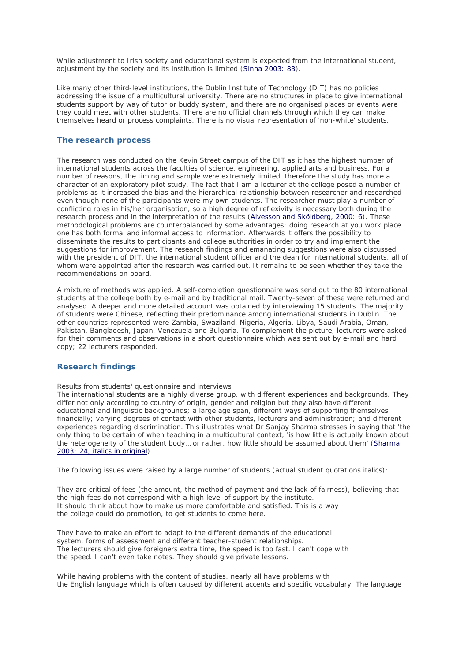While adjustment *to* Irish society and educational system is expected from the international student, adjustment *by* the society and its institution is limited [\(Sinha 2003: 83\)](http://level3.dit.ie/html/issue2/schlepper/schlepper_refs.html#sinha).

Like many other third-level institutions, the Dublin Institute of Technology (DIT) has no policies addressing the issue of a multicultural university. There are no structures in place to give international students support by way of tutor or buddy system, and there are no organised places or events were they could meet with other students. There are no official channels through which they can make themselves heard or process complaints. There is no visual representation of 'non-white' students.

#### **The research process**

The research was conducted on the Kevin Street campus of the DIT as it has the highest number of international students across the faculties of science, engineering, applied arts and business. For a number of reasons, the timing and sample were extremely limited, therefore the study has more a character of an exploratory pilot study. The fact that I am a lecturer at the college posed a number of problems as it increased the bias and the hierarchical relationship between researcher and researched – even though none of the participants were my own students. The researcher must play a number of conflicting roles in his/her organisation, so a high degree of reflexivity is necessary both during the research process and in the interpretation of the results [\(Alvesson and Sköldberg, 2000: 6\)](http://level3.dit.ie/html/issue2/schlepper/schlepper_refs.html#alvesson). These methodological problems are counterbalanced by some advantages: doing research at you work place one has both formal and informal access to information. Afterwards it offers the possibility to disseminate the results to participants and college authorities in order to try and implement the suggestions for improvement. The research findings and emanating suggestions were also discussed with the president of DIT, the international student officer and the dean for international students, all of whom were appointed after the research was carried out. It remains to be seen whether they take the recommendations on board.

A mixture of methods was applied. A self-completion questionnaire was send out to the 80 international students at the college both by e-mail and by traditional mail. Twenty-seven of these were returned and analysed. A deeper and more detailed account was obtained by interviewing 15 students. The majority of students were Chinese, reflecting their predominance among international students in Dublin. The other countries represented were Zambia, Swaziland, Nigeria, Algeria, Libya, Saudi Arabia, Oman, Pakistan, Bangladesh, Japan, Venezuela and Bulgaria. To complement the picture, lecturers were asked for their comments and observations in a short questionnaire which was sent out by e-mail and hard copy; 22 lecturers responded.

# **Research findings**

Results from students' questionnaire and interviews

The international students are a highly diverse group, with different experiences and backgrounds. They differ not only according to country of origin, gender and religion but they also have different educational and linguistic backgrounds; a large age span, different ways of supporting themselves financially; varying degrees of contact with other students, lecturers and administration; and different experiences regarding discrimination. This illustrates what Dr Sanjay Sharma stresses in saying that 'the only thing to be certain of when teaching in a multicultural context, 'is how little is actually known about the heterogeneity of the student body… or rather, *how little should be assumed about them*' (*[Sharma](http://level3.dit.ie/html/issue2/schlepper/schlepper_refs.html#sharma)  [2003: 24, italics in original](http://level3.dit.ie/html/issue2/schlepper/schlepper_refs.html#sharma)*).

The following issues were raised by a large number of students (actual student quotations italics):

They are critical of fees (the amount, the method of payment and the lack of fairness), believing that the high fees do not correspond with a high level of support by the institute. *It should think about how to make us more comfortable and satisfied. This is a way the college could do promotion, to get students to come here.*

They have to make an effort to adapt to the different demands of the educational system, forms of assessment and different teacher-student relationships. *The lecturers should give foreigners extra time, the speed is too fast. I can't cope with the speed. I can't even take notes. They should give private lessons.*

While having problems with the content of studies, nearly all have problems with the English language which is often caused by different accents and specific vocabulary. The language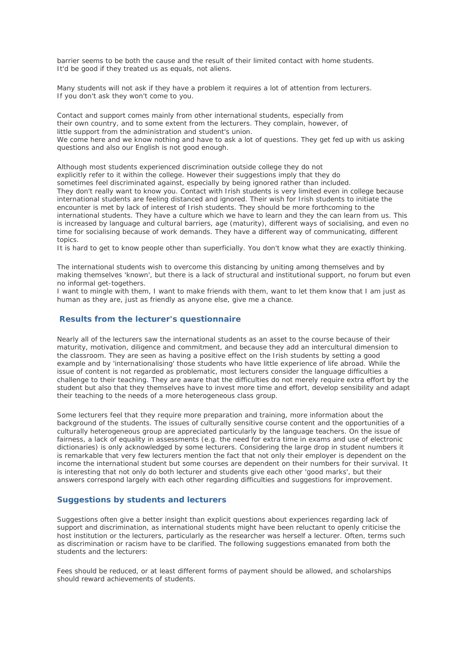barrier seems to be both the cause and the result of their limited contact with home students. *It'd be good if they treated us as equals, not aliens.*

Many students will not ask if they have a problem it requires a lot of attention from lecturers. *If you don't ask they won't come to you.*

Contact and support comes mainly from other international students, especially from their own country, and to some extent from the lecturers. They complain, however, of little support from the administration and student's union. We come here and we know nothing and have to ask a lot of questions. They get fed up with us asking *questions and also our English is not good enough.*

Although most students experienced discrimination outside college they do not explicitly refer to it within the college. However their suggestions imply that they do sometimes feel discriminated against, especially by being ignored rather than included. *They don't really want to know you.* Contact with Irish students is very limited even in college because international students are feeling distanced and ignored. Their wish for Irish students to initiate the encounter is met by lack of interest of Irish students. *They should be more forthcoming to the international students. They have a culture which we have to learn and they the can learn from us.* This is increased by language and cultural barriers, age (maturity), different ways of socialising, and even no time for socialising because of work demands. *They have a different way of communicating, different topics.*

It is hard to get to know people other than superficially. You don't know what they are exactly thinking.

The international students wish to overcome this distancing by uniting among themselves and by making themselves 'known', but there is a lack of structural and institutional support, no forum but even no informal get-togethers.

*I want to mingle with them, I want to make friends with them, want to let them know that I am just as human as they are, just as friendly as anyone else, give me a chance.*

# **Results from the lecturer's questionnaire**

Nearly all of the lecturers saw the international students as an asset to the course because of their maturity, motivation, diligence and commitment, and because they add an intercultural dimension to the classroom. They are seen as having a positive effect on the Irish students by setting a good example and by 'internationalising' those students who have little experience of life abroad. While the issue of content is not regarded as problematic, most lecturers consider the language difficulties a challenge to their teaching. They are aware that the difficulties do not merely require extra effort by the student but also that they themselves have to invest more time and effort, develop sensibility and adapt their teaching to the needs of a more heterogeneous class group.

Some lecturers feel that they require more preparation and training, more information about the background of the students. The issues of culturally sensitive course content and the opportunities of a culturally heterogeneous group are appreciated particularly by the language teachers. On the issue of fairness, a lack of equality in assessments (e.g. the need for extra time in exams and use of electronic dictionaries) is only acknowledged by some lecturers. Considering the large drop in student numbers it is remarkable that very few lecturers mention the fact that not only their employer is dependent on the income the international student but some courses are dependent on their numbers for their survival. It is interesting that not only do both lecturer and students give each other 'good marks', but their answers correspond largely with each other regarding difficulties and suggestions for improvement.

# **Suggestions by students and lecturers**

Suggestions often give a better insight than explicit questions about experiences regarding lack of support and discrimination, as international students might have been reluctant to openly criticise the host institution or the lecturers, particularly as the researcher was herself a lecturer. Often, terms such as discrimination or racism have to be clarified. The following suggestions emanated from both the students and the lecturers:

Fees should be reduced, or at least different forms of payment should be allowed, and scholarships should reward achievements of students.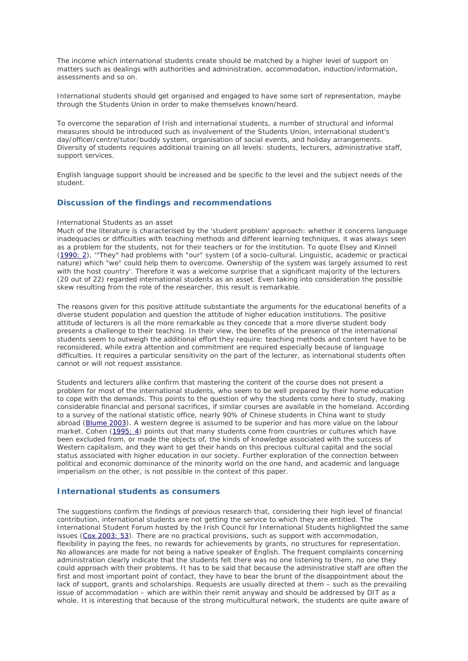The income which international students create should be matched by a higher level of support on matters such as dealings with authorities and administration, accommodation, induction/information, assessments and so on.

International students should get organised and engaged to have some sort of representation, maybe through the Students Union in order to make themselves known/heard.

To overcome the separation of Irish and international students, a number of structural and informal measures should be introduced such as involvement of the Students Union, international student's day/officer/centre/tutor/buddy system, organisation of social events, and holiday arrangements. Diversity of students requires additional training on all levels: students, lecturers, administrative staff, support services.

English language support should be increased and be specific to the level and the subject needs of the student.

# **Discussion of the findings and recommendations**

#### International Students as an asset

Much of the literature is characterised by the 'student problem' approach: whether it concerns language inadequacies or difficulties with teaching methods and different learning techniques, it was always seen as a problem for the students, not for their teachers or for the institution. To quote Elsey and Kinnell [\(1990: 2\)](http://level3.dit.ie/html/issue2/schlepper/schlepper_refs.html#elsey), '"They" had problems with "our" system (of a socio-cultural. Linguistic, academic or practical nature) which "we" could help them to overcome. Ownership of the system was largely assumed to rest with the host country'. Therefore it was a welcome surprise that a significant majority of the lecturers (20 out of 22) regarded international students as an asset. Even taking into consideration the possible skew resulting from the role of the researcher, this result is remarkable.

The reasons given for this positive attitude substantiate the arguments for the educational benefits of a diverse student population and question the attitude of higher education institutions. The positive attitude of lecturers is all the more remarkable as they concede that a more diverse student body presents a challenge to their teaching. In their view, the benefits of the presence of the international students seem to outweigh the additional effort they require: teaching methods and content have to be reconsidered, while extra attention and commitment are required especially because of language difficulties. It requires a particular sensitivity on the part of the lecturer, as international students often cannot or will not request assistance.

Students and lecturers alike confirm that mastering the content of the course does not present a problem for most of the international students, who seem to be well prepared by their home education to cope with the demands. This points to the question of why the students come here to study, making considerable financial and personal sacrifices, if similar courses are available in the homeland. According to a survey of the national statistic office, nearly 90% of Chinese students in China want to study abroad [\(Blume 2003\)](http://level3.dit.ie/html/issue2/schlepper/schlepper_refs.html#blume). A western degree is assumed to be superior and has more value on the labour market. Cohen [\(1995: 4\)](http://level3.dit.ie/html/issue2/schlepper/schlepper_refs.html#cohen) points out that many students come from countries or cultures which have been excluded from, or made the objects of, the kinds of knowledge associated with the success of Western capitalism, and they want to get their hands on this precious cultural capital and the social status associated with higher education in our society. Further exploration of the connection between political and economic dominance of the minority world on the one hand, and academic and language imperialism on the other, is not possible in the context of this paper.

#### **International students as consumers**

The suggestions confirm the findings of previous research that, considering their high level of financial contribution, international students are not getting the service to which they are entitled. The International Student Forum hosted by the Irish Council for International Students highlighted the same issues [\(Cox 2003: 53\)](http://level3.dit.ie/html/issue2/schlepper/schlepper_refs.html#cox). There are no practical provisions, such as support with accommodation, flexibility in paying the fees, no rewards for achievements by grants, no structures for representation. No allowances are made for not being a native speaker of English. The frequent complaints concerning administration clearly indicate that the students felt there was no one listening to them, no one they could approach with their problems. It has to be said that because the administrative staff are often the first and most important point of contact, they have to bear the brunt of the disappointment about the lack of support, grants and scholarships. Requests are usually directed at them – such as the prevailing issue of accommodation – which are within their remit anyway and should be addressed by DIT as a whole. It is interesting that because of the strong multicultural network, the students are quite aware of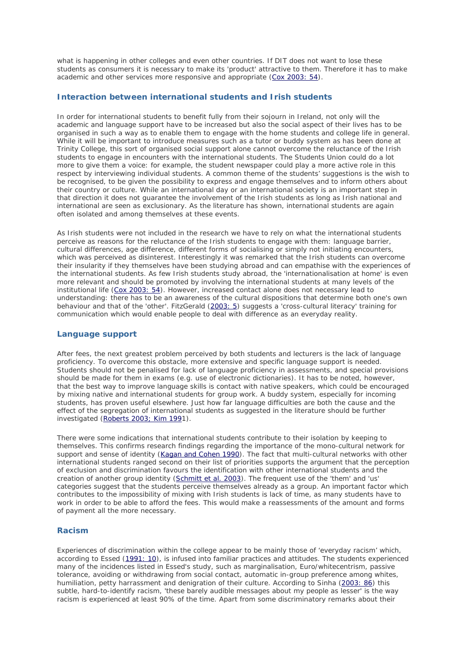what is happening in other colleges and even other countries. If DIT does not want to lose these students as consumers it is necessary to make its 'product' attractive to them. Therefore it has to make academic and other services more responsive and appropriate [\(Cox 2003: 54\)](http://level3.dit.ie/html/issue2/schlepper/schlepper_refs.html#cox).

#### **Interaction between international students and Irish students**

In order for international students to benefit fully from their sojourn in Ireland, not only will the academic and language support have to be increased but also the social aspect of their lives has to be organised in such a way as to enable them to engage with the home students and college life in general. While it will be important to introduce measures such as a tutor or buddy system as has been done at Trinity College, this sort of organised social support alone cannot overcome the reluctance of the Irish students to engage in encounters with the international students. The Students Union could do a lot more to give them a voice: for example, the student newspaper could play a more active role in this respect by interviewing individual students. A common theme of the students' suggestions is the wish to be recognised, to be given the possibility to express and engage themselves and to inform others about their country or culture. While an international day or an international society is an important step in that direction it does not guarantee the involvement of the Irish students as long as Irish national and international are seen as exclusionary. As the literature has shown, international students are again often isolated and among themselves at these events.

As Irish students were not included in the research we have to rely on what the international students perceive as reasons for the reluctance of the Irish students to engage with them: language barrier, cultural differences, age difference, different forms of socialising or simply not initiating encounters, which was perceived as disinterest. Interestingly it was remarked that the Irish students can overcome their insularity if they themselves have been studying abroad and can empathise with the experiences of the international students. As few Irish students study abroad, the 'internationalisation at home' is even more relevant and should be promoted by involving the international students at many levels of the institutional life [\(Cox 2003: 54\)](http://level3.dit.ie/html/issue2/schlepper/schlepper_refs.html#cox). However, increased contact alone does not necessary lead to understanding: there has to be an awareness of the cultural dispositions that determine both one's own behaviour and that of the 'other'. FitzGerald [\(2003: 5\)](http://level3.dit.ie/html/issue2/schlepper/schlepper_refs.html) suggests a 'cross-cultural literacy' training for communication which would enable people to deal with difference as an everyday reality.

# **Language support**

After fees, the next greatest problem perceived by both students and lecturers is the lack of language proficiency. To overcome this obstacle, more extensive and specific language support is needed. Students should not be penalised for lack of language proficiency in assessments, and special provisions should be made for them in exams (e.g. use of electronic dictionaries). It has to be noted, however, that the best way to improve language skills is contact with native speakers, which could be encouraged by mixing native and international students for group work. A buddy system, especially for incoming students, has proven useful elsewhere. Just how far language difficulties are both the cause and the effect of the segregation of international students as suggested in the literature should be further investigated [\(Roberts 2003; Kim 1991](http://level3.dit.ie/html/issue2/schlepper/schlepper_refs.html#kim)).

There were some indications that international students contribute to their isolation by keeping to themselves. This confirms research findings regarding the importance of the mono-cultural network for support and sense of identity [\(Kagan and Cohen 1990\)](http://level3.dit.ie/html/issue2/schlepper/schlepper_refs.html#kagan). The fact that multi-cultural networks with other international students ranged second on their list of priorities supports the argument that the perception of exclusion and discrimination favours the identification with other international students and the creation of another group identity [\(Schmitt et al. 2003\)](http://level3.dit.ie/html/issue2/schlepper/schlepper_refs.html#schmitt). The frequent use of the 'them' and 'us' categories suggest that the students perceive themselves already as a group. An important factor which contributes to the impossibility of mixing with Irish students is lack of time, as many students have to work in order to be able to afford the fees. This would make a reassessments of the amount and forms of payment all the more necessary.

#### **Racism**

Experiences of discrimination within the college appear to be mainly those of 'everyday racism' which, according to Essed [\(1991: 10\)](http://level3.dit.ie/html/issue2/schlepper/schlepper_refs.html#essed), is infused into familiar practices and attitudes. The students experienced many of the incidences listed in Essed's study, such as marginalisation, Euro/whitecentrism, passive tolerance, avoiding or withdrawing from social contact, automatic in-group preference among whites, humiliation, petty harrassment and denigration of their culture. According to Sinha [\(2003: 86\)](http://level3.dit.ie/html/issue2/schlepper/schlepper_refs.html#sinha) this subtle, hard-to-identify racism, 'these barely audible messages about my people as lesser' is the way racism is experienced at least 90% of the time. Apart from some discriminatory remarks about their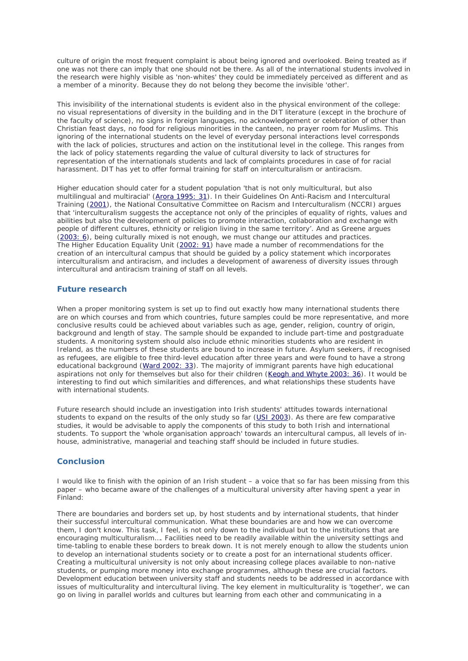culture of origin the most frequent complaint is about being ignored and overlooked. Being treated as if one was not there can imply that one should not be there. As all of the international students involved in the research were highly visible as 'non-whites' they could be immediately perceived as different and as a member of a minority. Because they do not belong they become the invisible 'other'.

This invisibility of the international students is evident also in the physical environment of the college: no visual representations of diversity in the building and in the DIT literature (except in the brochure of the faculty of science), no signs in foreign languages, no acknowledgement or celebration of other than Christian feast days, no food for religious minorities in the canteen, no prayer room for Muslims. This ignoring of the international students on the level of everyday personal interactions level corresponds with the lack of policies, structures and action on the institutional level in the college. This ranges from the lack of policy statements regarding the value of cultural diversity to lack of structures for representation of the internationals students and lack of complaints procedures in case of for racial harassment. DIT has yet to offer formal training for staff on interculturalism or antiracism.

Higher education should cater for a student population 'that is not only multicultural, but also multilingual and multiracial' [\(Arora 1995: 31\)](http://level3.dit.ie/html/issue2/schlepper/schlepper_refs.html#arora). In their Guidelines On Anti-Racism and Intercultural Training [\(2001\)](http://level3.dit.ie/html/issue2/schlepper/schlepper_refs.html#national), the National Consultative Committee on Racism and Interculturalism (NCCRI) argues that 'interculturalism suggests the acceptance not only of the principles of equality of rights, values and abilities but also the development of policies to promote interaction, collaboration and exchange with people of different cultures, ethnicity or religion living in the same territory'. And as Greene argues [\(2003: 6\)](http://level3.dit.ie/html/issue2/schlepper/schlepper_refs.html), being culturally mixed is not enough, we must change our attitudes and practices. The Higher Education Equality Unit [\(2002: 91\)](http://level3.dit.ie/html/issue2/schlepper/schlepper_refs.html) have made a number of recommendations for the creation of an intercultural campus that should be guided by a policy statement which incorporates interculturalism and antiracism, and includes a development of awareness of diversity issues through intercultural and antiracism training of staff on all levels.

# **Future research**

When a proper monitoring system is set up to find out exactly how many international students there are on which courses and from which countries, future samples could be more representative, and more conclusive results could be achieved about variables such as age, gender, religion, country of origin, background and length of stay. The sample should be expanded to include part-time and postgraduate students. A monitoring system should also include ethnic minorities students who are resident in Ireland, as the numbers of these students are bound to increase in future. Asylum seekers, if recognised as refugees, are eligible to free third-level education after three years and were found to have a strong educational background [\(Ward 2002: 33\)](http://level3.dit.ie/html/issue2/schlepper/schlepper_refs.html#ward). The majority of immigrant parents have high educational aspirations not only for themselves but also for their children [\(Keogh and Whyte 2003: 36\)](http://level3.dit.ie/html/issue2/schlepper/schlepper_refs.html#keogh). It would be interesting to find out which similarities and differences, and what relationships these students have with international students.

Future research should include an investigation into Irish students' attitudes towards international students to expand on the results of the only study so far [\(USI 2003\)](http://level3.dit.ie/html/issue2/schlepper/schlepper_refs.html#union). As there are few comparative studies, it would be advisable to apply the components of this study to both Irish and international students. To support the 'whole organisation approach' towards an intercultural campus, all levels of inhouse, administrative, managerial and teaching staff should be included in future studies.

# **Conclusion**

I would like to finish with the opinion of an Irish student – a voice that so far has been missing from this paper – who became aware of the challenges of a multicultural university after having spent a year in Finland:

There are boundaries and borders set up, by host students and by international students, that hinder their successful intercultural communication. What these boundaries are and how we can overcome them, I don't know. This task, I feel, is not only down to the individual but to the institutions that are encouraging multiculturalism…. Facilities need to be readily available within the university settings and time-tabling to enable these borders to break down. It is not merely enough to allow the students union to develop an international students society or to create a post for an international students officer. Creating a multicultural university is not only about increasing college places available to non-native students, or pumping more money into exchange programmes, although these are crucial factors. Development education between university staff and students needs to be addressed in accordance with issues of multiculturality and intercultural living. The key element in multiculturality is 'together', we can go on living in parallel worlds and cultures but learning from each other and communicating in a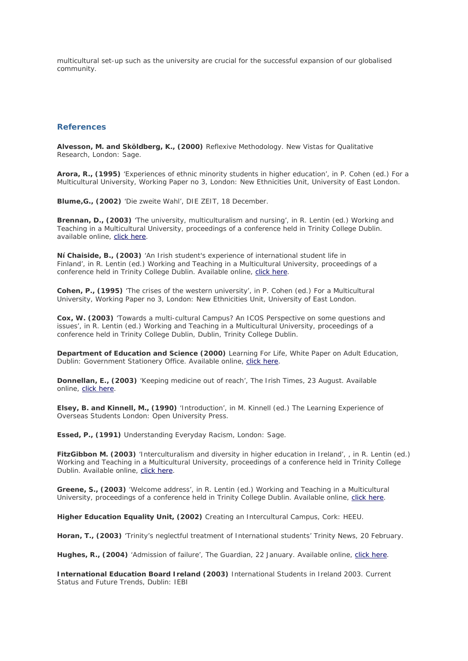multicultural set-up such as the university are crucial for the successful expansion of our globalised community.

#### **References**

**Alvesson, M. and Sköldberg, K., (2000)** Reflexive Methodology. New Vistas for Qualitative Research, *London: Sage.*

**Arora, R., (1995)** 'Experiences of ethnic minority students in higher education', in P. Cohen (ed.) For a Multicultural University, Working Paper no 3, *London: New Ethnicities Unit, University of East London.*

**Blume,G., (2002)** 'Die zweite Wahl', DIE ZEIT, 18 December.

**Brennan, D., (2003)** 'The university, multiculturalism and nursing', in R. Lentin (ed.) Working and Teaching in a Multicultural University, proceedings of a conference held in Trinity College Dublin. available online, [click here.](http://www.tcd.ie/Sociology/mphil/dwnl/teaching%2Bworking.pdf)

**Ní Chaiside, B., (2003)** 'An Irish student's experience of international student life in Finland', in R. Lentin (ed.) Working and Teaching in a Multicultural University, proceedings of a conference held in Trinity College Dublin. Available online, [click here.](http://www.tcd.ie/Sociology/mphil/dwnl/teaching%2Bworking.pdf)

**Cohen, P., (1995)** 'The crises of the western university', in P. Cohen (ed.) For a Multicultural University, Working Paper no 3, *London: New Ethnicities Unit, University of East London.*

**Cox, W. (2003)** 'Towards a multi-cultural Campus? An ICOS Perspective on some questions and issues', in R. Lentin (ed.) Working and Teaching in a Multicultural University, proceedings of a conference held in Trinity College Dublin, *Dublin, Trinity College Dublin.*

**Department of Education and Science (2000)** Learning For Life, White Paper on Adult Education, Dublin: Government Stationery Office. Available online, [click here.](http://www.education.ie/servlet/blobservlet/fe_adulted_wp.pdf)

**Donnellan, E., (2003)** 'Keeping medicine out of reach', The Irish Times, 23 August. Available online, [click here.](http://www.ireland.com/newspaper/newsfeatures/2003/0823/2721355770WK23DOCTORS.html)

**Elsey, B. and Kinnell, M., (1990)** 'Introduction', in M. Kinnell (ed.) The Learning Experience of Overseas Students *London: Open University Press.*

**Essed, P., (1991)** Understanding Everyday Racism, *London: Sage.*

**FitzGibbon M. (2003)** 'Interculturalism and diversity in higher education in Ireland', , in R. Lentin (ed.) Working and Teaching in a Multicultural University, proceedings of a conference held in Trinity College Dublin. Available online, [click here.](http://www.tcd.ie/Sociology/mphil/dwnl/teaching%2Bworking.pdf)

**Greene, S., (2003)** 'Welcome address', in R. Lentin (ed.) Working and Teaching in a Multicultural University, proceedings of a conference held in Trinity College Dublin. Available online, [click here.](http://www.tcd.ie/Sociology/mphil/dwnl/teaching%2Bworking.pdf)

**Higher Education Equality Unit, (2002)** Creating an Intercultural Campus, *Cork: HEEU.*

**Horan, T., (2003)** 'Trinity's neglectful treatment of International students' Trinity News, 20 February.

**Hughes, R., (2004)** 'Admission of failure', The Guardian, 22 January. Available online, [click here.](http://education.guardian.co.uk/tefl/story/0,5500,1128990,00.html)

**International Education Board Ireland (2003)** International Students in Ireland 2003. Current Status and Future Trends, *Dublin: IEBI*